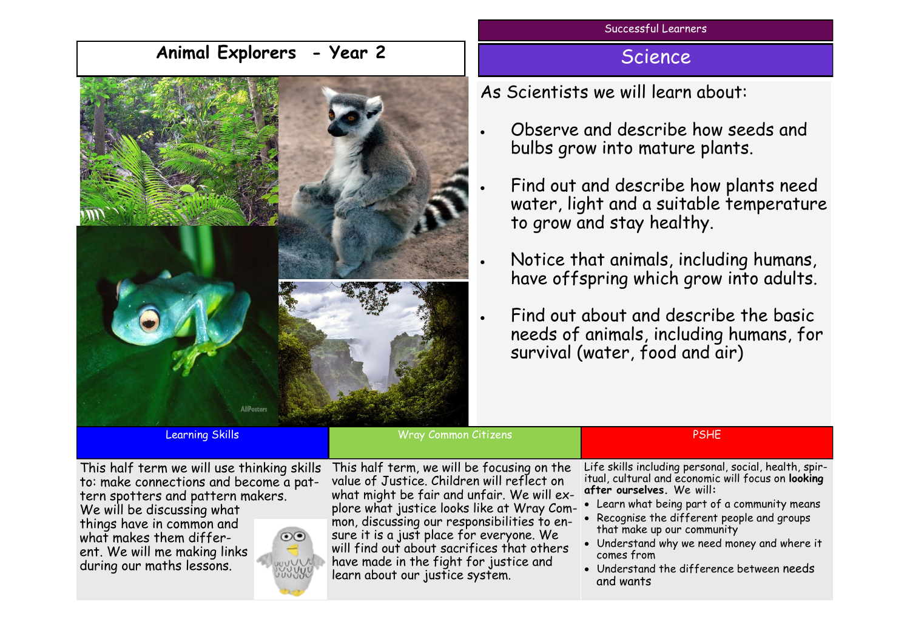## **Animal Explorers - Year 2**



Successful Learners

## **Science**

As Scientists we will learn about:

- Observe and describe how seeds and bulbs grow into mature plants.
- Find out and describe how plants need water, light and a suitable temperature to grow and stay healthy.
- Notice that animals, including humans, have offspring which grow into adults.
- Find out about and describe the basic needs of animals, including humans, for survival (water, food and air)

Learning Skills Wray Common Citizens PSHE

This half term we will use thinking skills to: make connections and become a pattern spotters and pattern makers.

We will be discussing what things have in common and what makes them different. We will me making links during our maths lessons.



This half term, we will be focusing on the value of Justice. Children will reflect on what might be fair and unfair. We will explore what justice looks like at Wray Common, discussing our responsibilities to ensure it is a just place for everyone. We will find out about sacrifices that others have made in the fight for justice and learn about our justice system.

Life skills including personal, social, health, spiritual, cultural and economic will focus on **looking after ourselves.** We will**:**

- Learn what being part of a community means
- Recognise the different people and groups that make up our community
- Understand why we need money and where it comes from
- Understand the difference between needs and wants